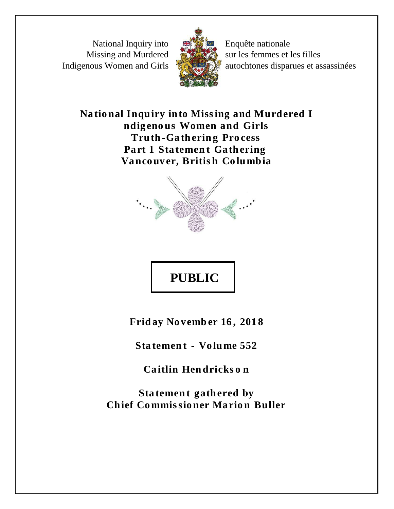National Inquiry into Missing and Murdered Indigenous Women and Girls



Enquête nationale sur les femmes et les filles autochtones disparues et assassinées

National Inquiry into Missing and Murdered I ndigenous Women and Girls **Truth-Gathering Process** Part 1 Statement Gathering Vancouver, British Columbia



## **PUBLIC**

Friday November 16, 2018

Statement - Volume 552

Caitlin Hendricks on

Statement gathered by **Chief Commissioner Marion Buller**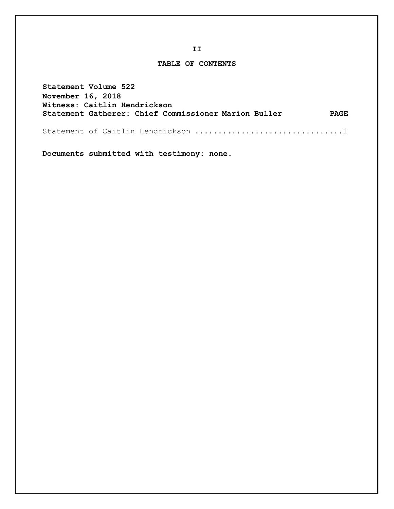## **TABLE OF CONTENTS**

**Statement Volume 522 November 16, 2018 Witness: Caitlin Hendrickson Statement Gatherer: Chief Commissioner Marion Buller PAGE**

Statement of Caitlin Hendrickson ................................1

**Documents submitted with testimony: none.**

**II**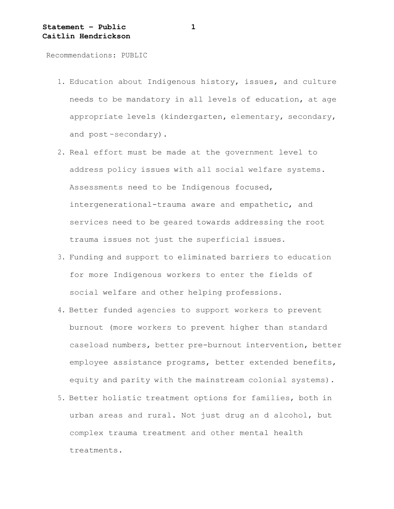Recommendations: PUBLIC

- 1. Education about Indigenous history, issues, and culture needs to be mandatory in all levels of education, at age appropriate levels (kindergarten, elementary, secondary, and post -secondary).
- 2. Real effort must be made at the government level to address policy issues with all social welfare systems. Assessments need to be Indigenous focused, intergenerational-trauma aware and empathetic, and services need to be geared towards addressing the root trauma issues not just the superficial issues.
- 3. Funding and support to eliminated barriers to education for more Indigenous workers to enter the fields of social welfare and other helping professions.
- 4. Better funded agencies to support workers to prevent burnout (more workers to prevent higher than standard caseload numbers, better pre-burnout intervention, better employee assistance programs, better extended benefits, equity and parity with the mainstream colonial systems).
- 5. Better holistic treatment options for families, both in urban areas and rural. Not just drug an d alcohol, but complex trauma treatment and other mental health treatments.

**1**